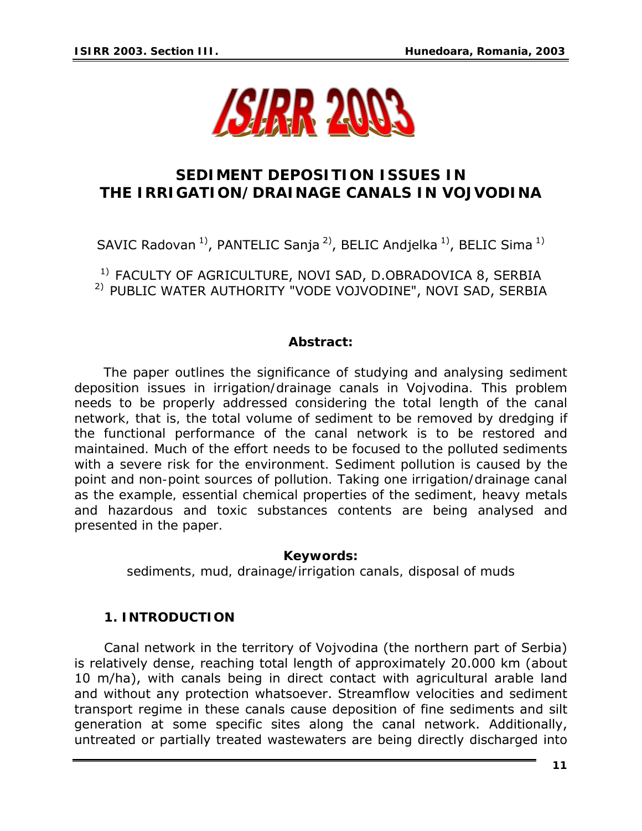

# **SEDIMENT DEPOSITION ISSUES IN THE IRRIGATION/DRAINAGE CANALS IN VOJVODINA**

SAVIC Radovan<sup>1</sup>, PANTELIC Sanja<sup>2</sup>, BELIC Andjelka<sup>1</sup>, BELIC Sima<sup>1)</sup>

<sup>1)</sup> FACULTY OF AGRICULTURE, NOVI SAD, D.OBRADOVICA 8, SERBIA 2) PUBLIC WATER AUTHORITY "VODE VOJVODINE", NOVI SAD, SERBIA

#### *Abstract:*

*The paper outlines the significance of studying and analysing sediment deposition issues in irrigation/drainage canals in Vojvodina. This problem*  needs to be properly addressed considering the total length of the canal network, that is, the total volume of sediment to be removed by dredging if *the functional performance of the canal network is to be restored and maintained. Much of the effort needs to be focused to the polluted sediments with a severe risk for the environment. Sediment pollution is caused by the point and non-point sources of pollution. Taking one irrigation/drainage canal as the example, essential chemical properties of the sediment, heavy metals and hazardous and toxic substances contents are being analysed and presented in the paper.* 

#### *Keywords:*

*sediments, mud, drainage/irrigation canals, disposal of muds* 

## **1. INTRODUCTION**

Canal network in the territory of Vojvodina (the northern part of Serbia) is relatively dense, reaching total length of approximately 20.000 km (about 10 m/ha), with canals being in direct contact with agricultural arable land and without any protection whatsoever. Streamflow velocities and sediment transport regime in these canals cause deposition of fine sediments and silt generation at some specific sites along the canal network. Additionally, untreated or partially treated wastewaters are being directly discharged into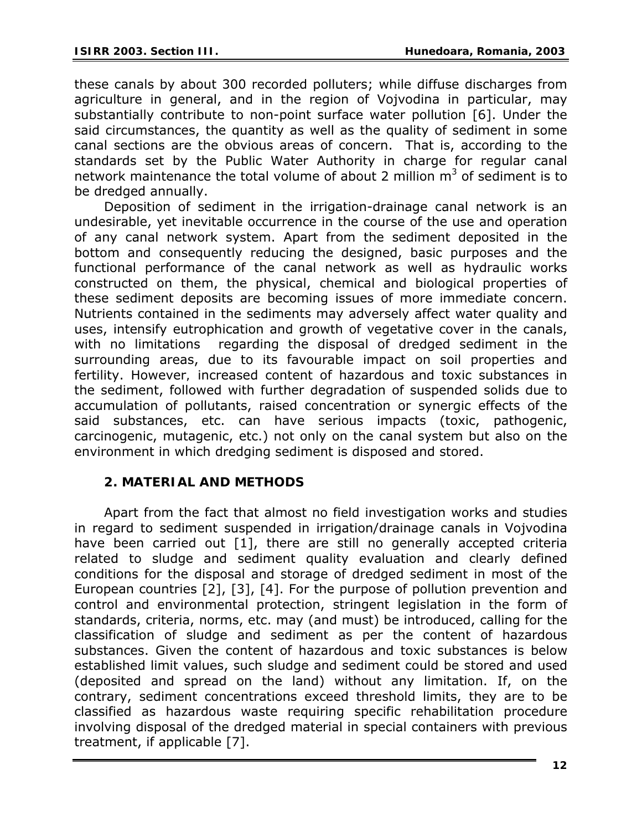these canals by about 300 recorded polluters; while diffuse discharges from agriculture in general, and in the region of Vojvodina in particular, may substantially contribute to non-point surface water pollution [6]. Under the said circumstances, the quantity as well as the quality of sediment in some canal sections are the obvious areas of concern. That is, according to the standards set by the Public Water Authority in charge for regular canal network maintenance the total volume of about 2 million  $m^3$  of sediment is to be dredged annually.

Deposition of sediment in the irrigation-drainage canal network is an undesirable, yet inevitable occurrence in the course of the use and operation of any canal network system. Apart from the sediment deposited in the bottom and consequently reducing the designed, basic purposes and the functional performance of the canal network as well as hydraulic works constructed on them, the physical, chemical and biological properties of these sediment deposits are becoming issues of more immediate concern. Nutrients contained in the sediments may adversely affect water quality and uses, intensify eutrophication and growth of vegetative cover in the canals, with no limitations regarding the disposal of dredged sediment in the surrounding areas, due to its favourable impact on soil properties and fertility. However*,* increased content of hazardous and toxic substances in the sediment, followed with further degradation of suspended solids due to accumulation of pollutants, raised concentration or synergic effects of the said substances, etc. can have serious impacts (toxic, pathogenic, carcinogenic, mutagenic, etc.) not only on the canal system but also on the environment in which dredging sediment is disposed and stored.

## **2. MATERIAL AND METHODS**

Apart from the fact that almost no field investigation works and studies in regard to sediment suspended in irrigation/drainage canals in Vojvodina have been carried out [1], there are still no generally accepted criteria related to sludge and sediment quality evaluation and clearly defined conditions for the disposal and storage of dredged sediment in most of the European countries [2], [3], [4]. For the purpose of pollution prevention and control and environmental protection, stringent legislation in the form of standards, criteria, norms, etc. may (and must) be introduced, calling for the classification of sludge and sediment as per the content of hazardous substances. Given the content of hazardous and toxic substances is below established limit values, such sludge and sediment could be stored and used (deposited and spread on the land) without any limitation. If, on the contrary, sediment concentrations exceed threshold limits, they are to be classified as hazardous waste requiring specific rehabilitation procedure involving disposal of the dredged material in special containers with previous treatment, if applicable [7].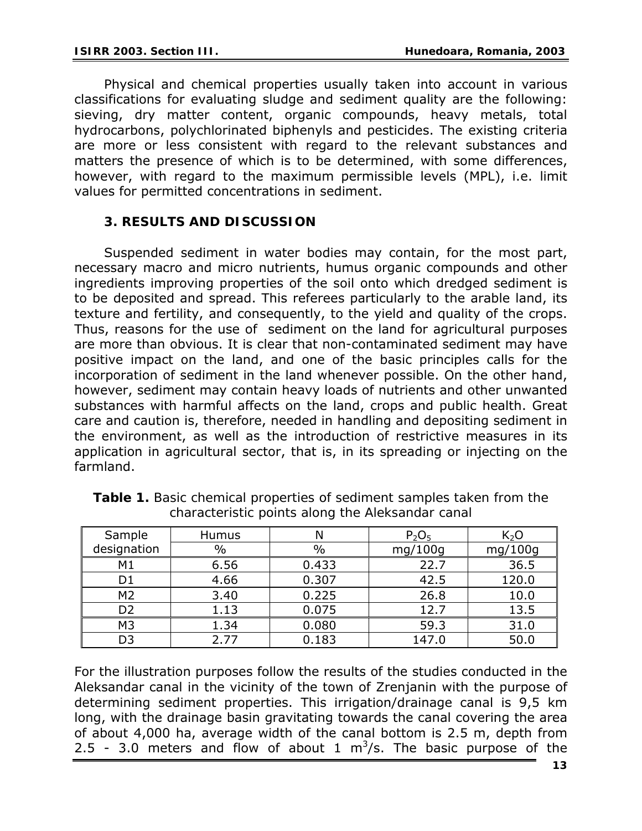Physical and chemical properties usually taken into account in various classifications for evaluating sludge and sediment quality are the following: sieving, dry matter content, organic compounds, heavy metals, total hydrocarbons, polychlorinated biphenyls and pesticides. The existing criteria are more or less consistent with regard to the relevant substances and matters the presence of which is to be determined, with some differences, however, with regard to the maximum permissible levels (MPL), i.e. limit values for permitted concentrations in sediment.

### **3. RESULTS AND DISCUSSION**

Suspended sediment in water bodies may contain, for the most part, necessary macro and micro nutrients, humus organic compounds and other ingredients improving properties of the soil onto which dredged sediment is to be deposited and spread. This referees particularly to the arable land, its texture and fertility, and consequently, to the yield and quality of the crops. Thus, reasons for the use of sediment on the land for agricultural purposes are more than obvious. It is clear that non-contaminated sediment may have positive impact on the land, and one of the basic principles calls for the incorporation of sediment in the land whenever possible. On the other hand, however, sediment may contain heavy loads of nutrients and other unwanted substances with harmful affects on the land, crops and public health. Great care and caution is, therefore, needed in handling and depositing sediment in the environment, as well as the introduction of restrictive measures in its application in agricultural sector, that is, in its spreading or injecting on the farmland.

| Sample         | Humus |       | P <sub>2</sub> O <sub>5</sub> | $K_2O$  |
|----------------|-------|-------|-------------------------------|---------|
| designation    | %     | $\%$  | mg/100g                       | mg/100g |
| M1             | 6.56  | 0.433 | 22.7                          | 36.5    |
|                | 4.66  | 0.307 | 42.5                          | 120.0   |
| M <sub>2</sub> | 3.40  | 0.225 | 26.8                          | 10.0    |
| D2             | 1.13  | 0.075 | 12.7                          | 13.5    |
| M <sub>3</sub> | 1.34  | 0.080 | 59.3                          | 31.0    |
|                | 2.77  | 0.183 | 147.0                         | 50.0    |

*Table 1. Basic chemical properties of sediment samples taken from the characteristic points along the Aleksandar canal* 

For the illustration purposes follow the results of the studies conducted in the Aleksandar canal in the vicinity of the town of Zrenjanin with the purpose of determining sediment properties. This irrigation/drainage canal is 9,5 km long, with the drainage basin gravitating towards the canal covering the area of about 4,000 ha, average width of the canal bottom is 2.5 m, depth from 2.5 - 3.0 meters and flow of about 1  $m^3/s$ . The basic purpose of the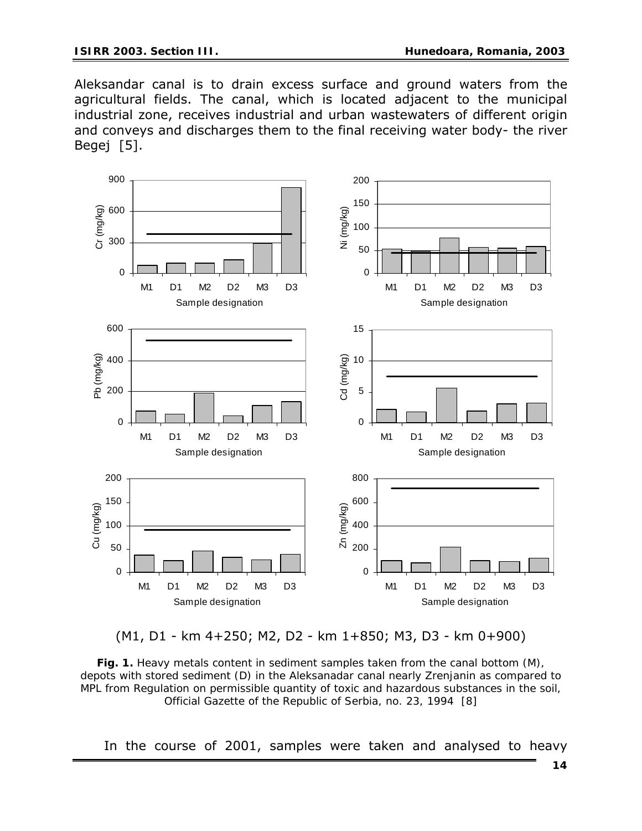Aleksandar canal is to drain excess surface and ground waters from the agricultural fields. The canal, which is located adjacent to the municipal industrial zone, receives industrial and urban wastewaters of different origin and conveys and discharges them to the final receiving water body- the river Begej [5].





*Fig. 1. Heavy metals content in sediment samples taken from the canal bottom (M), depots with stored sediment (D) in the Aleksanadar canal nearly Zrenjanin as compared to MPL from Regulation on permissible quantity of toxic and hazardous substances in the soil, Official Gazette of the Republic of Serbia, no. 23, 1994 [8]* 

In the course of 2001, samples were taken and analysed to heavy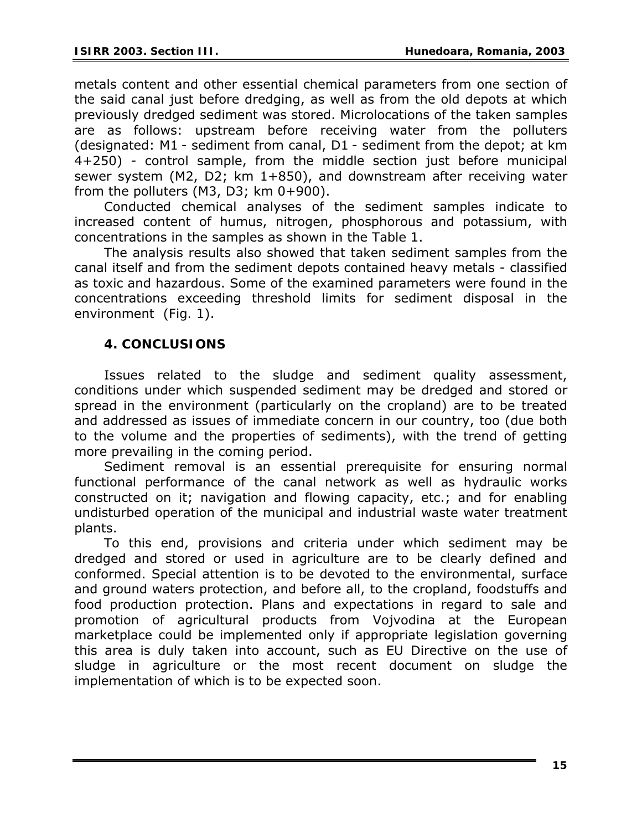metals content and other essential chemical parameters from one section of the said canal just before dredging, as well as from the old depots at which previously dredged sediment was stored. Microlocations of the taken samples are as follows: upstream before receiving water from the polluters (designated: M1 - sediment from canal, D1 - sediment from the depot; at km 4+250) - control sample, from the middle section just before municipal sewer system (M2, D2; km 1+850), and downstream after receiving water from the polluters  $(M3, D3; km 0+900)$ .

Conducted chemical analyses of the sediment samples indicate to increased content of humus, nitrogen, phosphorous and potassium, with concentrations in the samples as shown in the *Table 1*.

The analysis results also showed that taken sediment samples from the canal itself and from the sediment depots contained heavy metals - classified as toxic and hazardous. Some of the examined parameters were found in the concentrations exceeding threshold limits for sediment disposal in the environment (*Fig. 1*).

## **4. CONCLUSIONS**

Issues related to the sludge and sediment quality assessment, conditions under which suspended sediment may be dredged and stored or spread in the environment (particularly on the cropland) are to be treated and addressed as issues of immediate concern in our country, too (due both to the volume and the properties of sediments), with the trend of getting more prevailing in the coming period.

Sediment removal is an essential prerequisite for ensuring normal functional performance of the canal network as well as hydraulic works constructed on it; navigation and flowing capacity, etc.; and for enabling undisturbed operation of the municipal and industrial waste water treatment plants.

To this end, provisions and criteria under which sediment may be dredged and stored or used in agriculture are to be clearly defined and conformed. Special attention is to be devoted to the environmental, surface and ground waters protection, and before all, to the cropland, foodstuffs and food production protection. Plans and expectations in regard to sale and promotion of agricultural products from Vojvodina at the European marketplace could be implemented only if appropriate legislation governing this area is duly taken into account, such as EU Directive on the use of sludge in agriculture or the most recent document on sludge the implementation of which is to be expected soon.